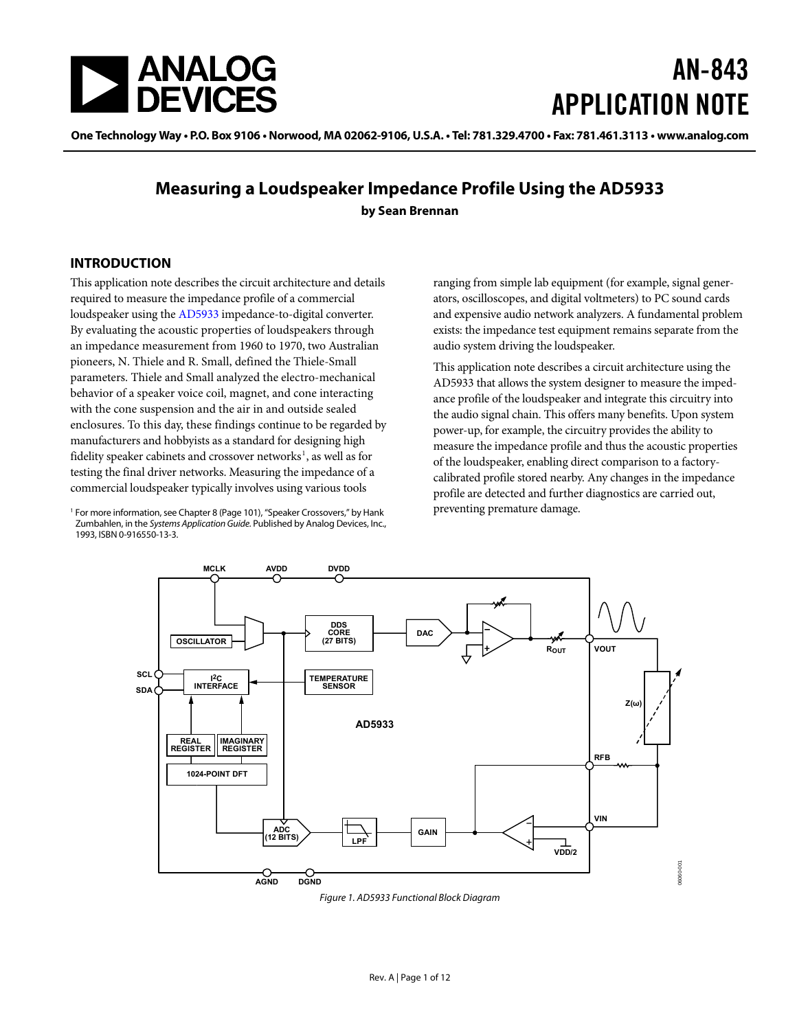<span id="page-0-0"></span>

# AN-843 APPLICATION NOTE

One Technology Way • P.O. Box 9106 • Norwood, MA 02062-9106, U.S.A. • Tel: 781.329.4700 • Fax: 781.461.3113 • www.analog.com

### **Measuring a Loudspeaker Impedance Profile Using the AD5933 by Sean Brennan**

### **INTRODUCTION**

This application note describes the circuit architecture and details required to measure the impedance profile of a commercial loudspeaker using the [AD5933](http://www.analog.com/AD5933) impedance-to-digital converter. By evaluating the acoustic properties of loudspeakers through an impedance measurement from 1960 to 1970, two Australian pioneers, [N. Thiele](http://www.assg.org.au/pdf/july2003.pdf) and R. Small, defined the Thiele-Small parameters[. Thiele](http://www.assg.org.au/pdf/july2003.pdf) and Small analyzed the electro-mechanical behavior of a speaker voice coil, magnet, and cone interacting with the cone suspension and the air in and outside sealed enclosures. To this day, these findings continue to be regarded by manufacturers and hobbyists as a standard for designing high fidelity speaker cabinets and crossover networks<sup>1</sup>, as well as for testing the final driver networks. Measuring the impedance of a commercial loudspeaker typically involves using various tools

<sup>1</sup> For more information, see Chapter 8 (Page 101), "Speaker Crossovers," by Hank Zumbahlen, in the Systems Application Guide. Published by Analog Devices, Inc., 1993, ISBN 0-916550-13-3.

ranging from simple lab equipment (for example, signal generators, oscilloscopes, and digital voltmeters) to PC sound cards and expensive audio network analyzers. A fundamental problem exists: the impedance test equipment remains separate from the audio system driving the loudspeaker.

This application note describes a circuit architecture using the [AD5933](http://www.analog.com/AD5933) that allows the system designer to measure the impedance profile of the loudspeaker and integrate this circuitry into the audio signal chain. This offers many benefits. Upon system power-up, for example, the circuitry provides the ability to measure the impedance profile and thus the acoustic properties of the loudspeaker, enabling direct comparison to a factorycalibrated profile stored nearby. Any changes in the impedance profile are detected and further diagnostics are carried out, preventing premature damage.



<span id="page-0-1"></span>Figure 1. AD5933 Functional Block Diagram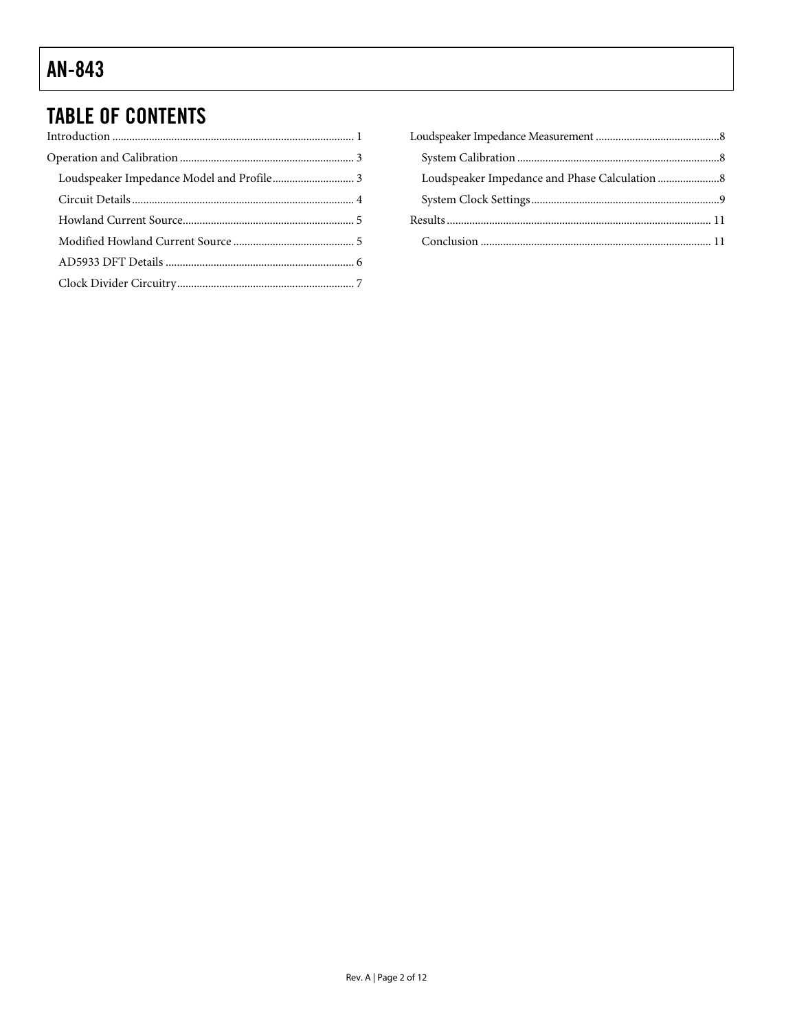# **TABLE OF CONTENTS**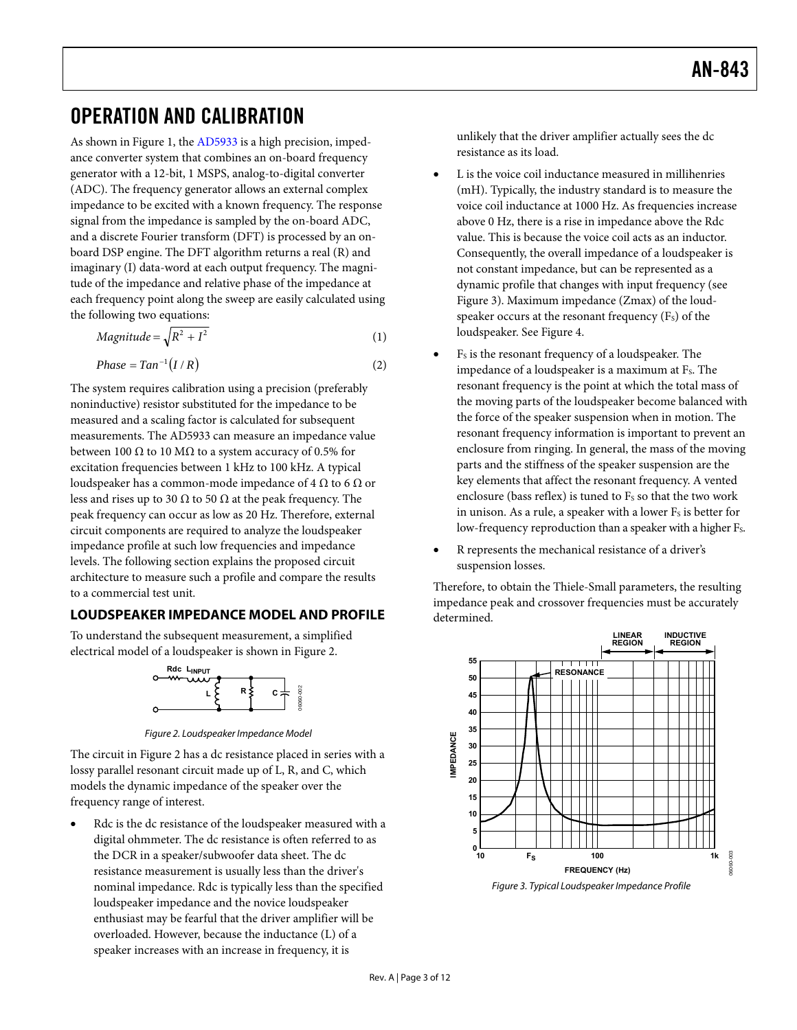# <span id="page-2-0"></span>OPERATION AND CALIBRATION

As shown in [Figure 1,](#page-0-1) the [AD5933](http://www.analog.com/AD5933) is a high precision, impedance converter system that combines an on-board frequency generator with a 12-bit, 1 MSPS, analog-to-digital converter (ADC). The frequency generator allows an external complex impedance to be excited with a known frequency. The response signal from the impedance is sampled by the on-board ADC, and a discrete Fourier transform (DFT) is processed by an onboard DSP engine. The DFT algorithm returns a real (R) and imaginary (I) data-word at each output frequency. The magnitude of the impedance and relative phase of the impedance at each frequency point along the sweep are easily calculated using the following two equations:

$$
Magnitude = \sqrt{R^2 + I^2} \tag{1}
$$

$$
Phase = Tan^{-1}(I/R) \tag{2}
$$

The system requires calibration using a precision (preferably noninductive) resistor substituted for the impedance to be measured and a scaling factor is calculated for subsequent measurements. The [AD5933](http://www.analog.com/AD5933) can measure an impedance value between 100  $\Omega$  to 10 M $\Omega$  to a system accuracy of 0.5% for excitation frequencies between 1 kHz to 100 kHz. A typical loudspeaker has a common-mode impedance of 4  $\Omega$  to 6  $\Omega$  or less and rises up to 30  $\Omega$  to 50  $\Omega$  at the peak frequency. The peak frequency can occur as low as 20 Hz. Therefore, external circuit components are required to analyze the loudspeaker impedance profile at such low frequencies and impedance levels. The following section explains the proposed circuit architecture to measure such a profile and compare the results to a commercial test unit.

### **LOUDSPEAKER IMPEDANCE MODEL AND PROFILE**

To understand the subsequent measurement, a simplified electrical model of a loudspeaker is shown in [Figure 2](#page-2-1).



Figure 2. Loudspeaker Impedance Model

<span id="page-2-1"></span>The circuit in [Figure 2](#page-2-1) has a dc resistance placed in series with a lossy parallel resonant circuit made up of L, R, and C, which models the dynamic impedance of the speaker over the frequency range of interest.

<span id="page-2-2"></span>Rdc is the dc resistance of the loudspeaker measured with a digital ohmmeter. The dc resistance is often referred to as the DCR in a speaker/subwoofer data sheet. The dc resistance measurement is usually less than the driver's nominal impedance. Rdc is typically less than the specified loudspeaker impedance and the novice loudspeaker enthusiast may be fearful that the driver amplifier will be overloaded. However, because the inductance (L) of a speaker increases with an increase in frequency, it is

unlikely that the driver amplifier actually sees the dc resistance as its load.

- L is the voice coil inductance measured in millihenries (mH). Typically, the industry standard is to measure the voice coil inductance at 1000 Hz. As frequencies increase above 0 Hz, there is a rise in impedance above the Rdc value. This is because the voice coil acts as an inductor. Consequently, the overall impedance of a loudspeaker is not constant impedance, but can be represented as a dynamic profile that changes with input frequency (see [Figure 3](#page-2-2)). Maximum impedance (Zmax) of the loudspeaker occurs at the resonant frequency  $(F_s)$  of the loudspeaker. See [Figure 4.](#page-3-1)
- F<sub>s</sub> is the resonant frequency of a loudspeaker. The impedance of a loudspeaker is a maximum at F<sub>s</sub>. The resonant frequency is the point at which the total mass of the moving parts of the loudspeaker become balanced with the force of the speaker suspension when in motion. The resonant frequency information is important to prevent an enclosure from ringing. In general, the mass of the moving parts and the stiffness of the speaker suspension are the key elements that affect the resonant frequency. A vented enclosure (bass reflex) is tuned to Fs so that the two work in unison. As a rule, a speaker with a lower  $F<sub>S</sub>$  is better for low-frequency reproduction than a speaker with a higher F<sub>s</sub>.
- R represents the mechanical resistance of a driver's suspension losses.

Therefore, to obtain the Thiele-Small parameters, the resulting impedance peak and crossover frequencies must be accurately determined.



Figure 3. Typical Loudspeaker Impedance Profile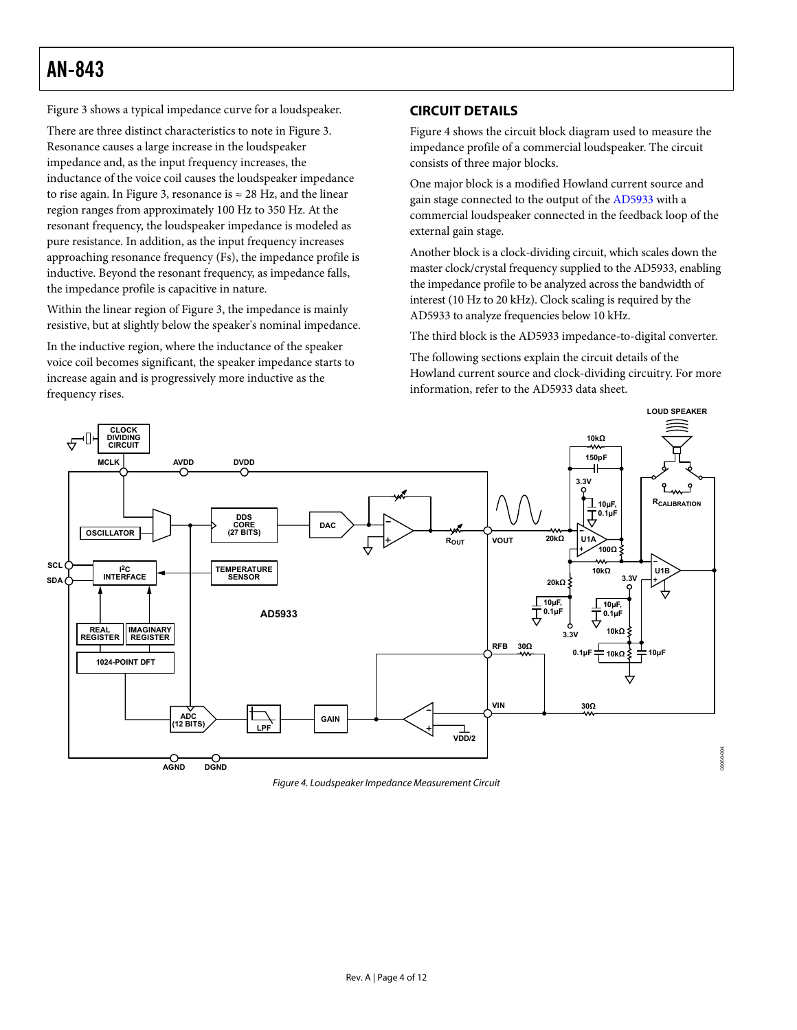<span id="page-3-0"></span>[Figure 3](#page-2-2) shows a typical impedance curve for a loudspeaker.

There are three distinct characteristics to note in [Figure 3](#page-2-2). Resonance causes a large increase in the loudspeaker impedance and, as the input frequency increases, the inductance of the voice coil causes the loudspeaker impedance to rise again. In [Figure 3,](#page-2-2) resonance is  $\approx$  28 Hz, and the linear region ranges from approximately 100 Hz to 350 Hz. At the resonant frequency, the loudspeaker impedance is modeled as pure resistance. In addition, as the input frequency increases approaching resonance frequency (Fs), the impedance profile is inductive. Beyond the resonant frequency, as impedance falls, the impedance profile is capacitive in nature.

Within the linear region of [Figure 3,](#page-2-2) the impedance is mainly resistive, but at slightly below the speaker's nominal impedance.

In the inductive region, where the inductance of the speaker voice coil becomes significant, the speaker impedance starts to increase again and is progressively more inductive as the frequency rises.

### **CIRCUIT DETAILS**

[Figure 4](#page-3-1) shows the circuit block diagram used to measure the impedance profile of a commercial loudspeaker. The circuit consists of three major blocks.

One major block is a modified Howland current source and gain stage connected to the output of the [AD5933](http://www.analog.com/AD5933) with a commercial loudspeaker connected in the feedback loop of the external gain stage.

Another block is a clock-dividing circuit, which scales down the master clock/crystal frequency supplied to the AD5933, enabling the impedance profile to be analyzed across the bandwidth of interest (10 Hz to 20 kHz). Clock scaling is required by the AD5933 to analyze frequencies below 10 kHz.

The third block is the [AD5933](http://www.analog.com/AD5933) impedance-to-digital converter.

The following sections explain the circuit details of the Howland current source and clock-dividing circuitry. For more information, refer to the [AD5933](http://www.analog.com/AD5933) data sheet.



<span id="page-3-1"></span>Figure 4. Loudspeaker Impedance Measurement Circuit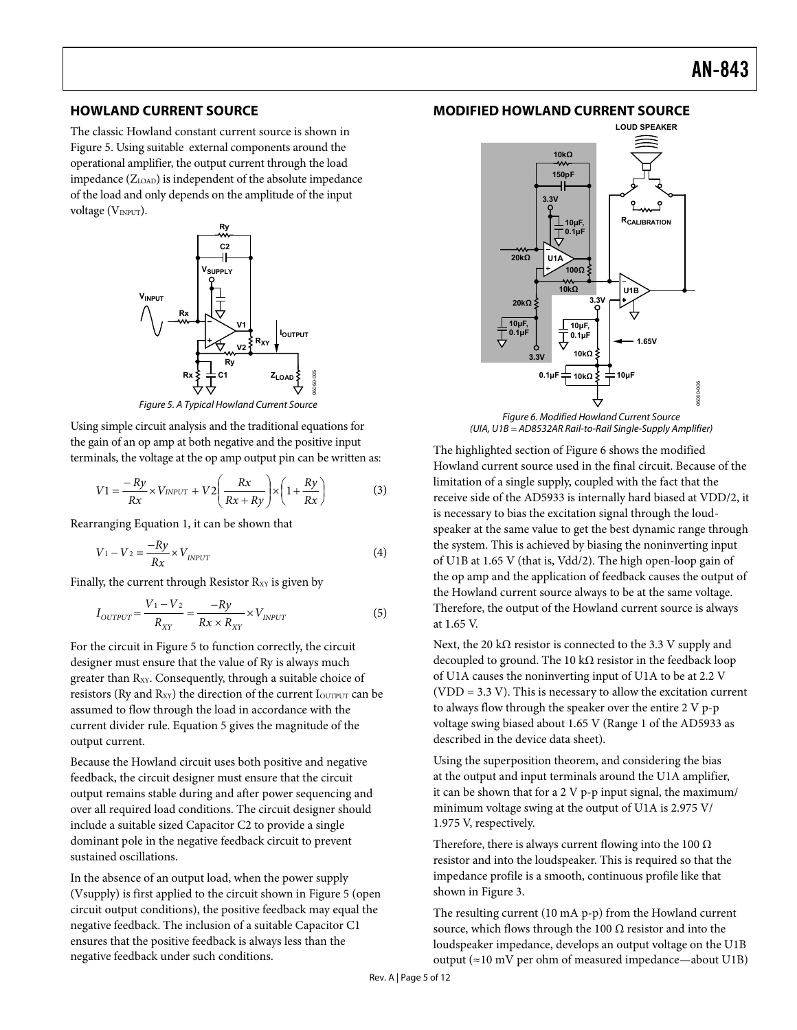#### <span id="page-4-0"></span>**HOWLAND CURRENT SOURCE**

The classic Howland constant current source is shown in Figure 5. Using suitable external components around the operational amplifier, the output current through the load impedance  $(Z<sub>LOAD</sub>)$  is independent of the absolute impedance of the load and only depends on the amplitude of the input voltage (VINPUT).



Figure 5. A Typical Howland Current Source

Using simple circuit analysis and the traditional equations for the gain of an op amp at both negative and the positive input terminals, the voltage at the op amp output pin can be written as:

$$
V1 = \frac{-Ry}{Rx} \times V_{INPUT} + V2\left(\frac{Rx}{Rx + Ry}\right) \times \left(1 + \frac{Ry}{Rx}\right) \tag{3}
$$

Rearranging Equation 1, it can be shown that

$$
V_1 - V_2 = \frac{-Ry}{Rx} \times V_{INPUT}
$$
 (4)

Finally, the current through Resistor R<sub>XY</sub> is given by

$$
I_{\text{OUTPUT}} = \frac{V_1 - V_2}{R_{XY}} = \frac{-Ry}{Rx \times R_{XY}} \times V_{\text{INPUT}} \tag{5}
$$

For the circuit in Figure 5 to function correctly, the circuit designer must ensure that the value of Ry is always much greater than R<sub>XY</sub>. Consequently, through a suitable choice of resistors (Ry and R<sub>XY</sub>) the direction of the current I<sub>OUTPUT</sub> can be assumed to flow through the load in accordance with the current divider rule. Equation 5 gives the magnitude of the output current.

Because the Howland circuit uses both positive and negative feedback, the circuit designer must ensure that the circuit output remains stable during and after power sequencing and over all required load conditions. The circuit designer should include a suitable sized Capacitor C2 to provide a single dominant pole in the negative feedback circuit to prevent sustained oscillations.

In the absence of an output load, when the power supply (Vsupply) is first applied to the circuit shown in Figure 5 (open circuit output conditions), the positive feedback may equal the negative feedback. The inclusion of a suitable Capacitor C1 ensures that the positive feedback is always less than the negative feedback under such conditions.

### **MODIFIED HOWLAND CURRENT SOURCE**



Figure 6. Modified Howland Current Source (UIA, U1B = AD8532AR Rail-to-Rail Single-Supply Amplifier)

The highlighted section of Figure 6 shows the modified Howland current source used in the final circuit. Because of the limitation of a single supply, coupled with the fact that the receive side of the [AD5933](http://www.analog.com/AD5933) is internally hard biased at VDD/2, it is necessary to bias the excitation signal through the loudspeaker at the same value to get the best dynamic range through the system. This is achieved by biasing the noninverting input of U1B at 1.65 V (that is, Vdd/2). The high open-loop gain of the op amp and the application of feedback causes the output of the Howland current source always to be at the same voltage. Therefore, the output of the Howland current source is always at 1.65 V.

Next, the 20 k $\Omega$  resistor is connected to the 3.3 V supply and decoupled to ground. The 10 k $\Omega$  resistor in the feedback loop of U1A causes the noninverting input of U1A to be at 2.2 V (VDD = 3.3 V). This is necessary to allow the excitation current to always flow through the speaker over the entire 2 V p-p voltage swing biased about 1.65 V (Range 1 of the AD5933 as described in the device data sheet).

Using the superposition theorem, and considering the bias at the output and input terminals around the U1A amplifier, it can be shown that for a 2 V p-p input signal, the maximum/ minimum voltage swing at the output of U1A is 2.975 V/ 1.975 V, respectively.

Therefore, there is always current flowing into the 100  $\Omega$ resistor and into the loudspeaker. This is required so that the impedance profile is a smooth, continuous profile like that shown in [Figure 3](#page-2-2).

The resulting current (10 mA p-p) from the Howland current source, which flows through the 100  $\Omega$  resistor and into the loudspeaker impedance, develops an output voltage on the U1B output (≈10 mV per ohm of measured impedance—about U1B)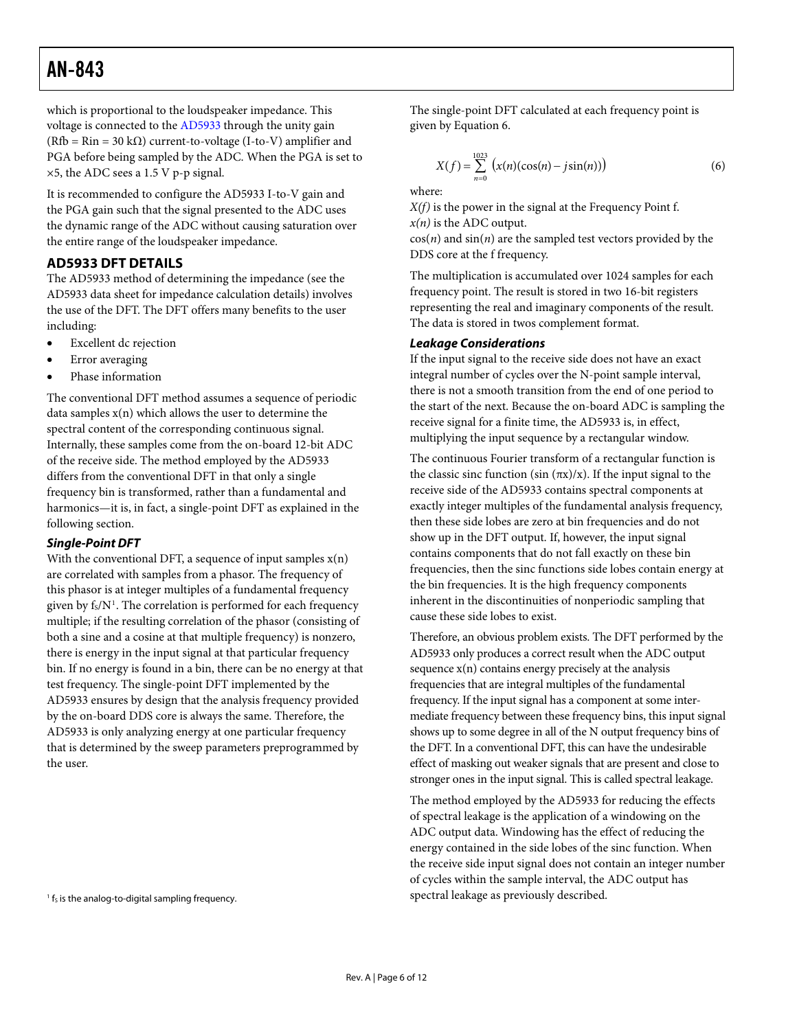<span id="page-5-0"></span>which is proportional to the loudspeaker impedance. This voltage is connected to the [AD5933](http://www.analog.com/AD5933) through the unity gain  $(Rfb = Rin = 30 k\Omega)$  current-to-voltage (I-to-V) amplifier and PGA before being sampled by the ADC. When the PGA is set to ×5, the ADC sees a 1.5 V p-p signal.

It is recommended to configure the AD5933 I-to-V gain and the PGA gain such that the signal presented to the ADC uses the dynamic range of the ADC without causing saturation over the entire range of the loudspeaker impedance.

#### <span id="page-5-1"></span>**AD5933 DFT DETAILS**

The AD5933 method of determining the impedance (see the [AD5933](http://www.analog.com/AD5933) data sheet for impedance calculation details) involves the use of the DFT. The DFT offers many benefits to the user including:

- Excellent dc rejection
- Error averaging
- Phase information

The conventional DFT method assumes a sequence of periodic data samples x(n) which allows the user to determine the spectral content of the corresponding continuous signal. Internally, these samples come from the on-board 12-bit ADC of the receive side. The method employed by the AD5933 differs from the conventional DFT in that only a single frequency bin is transformed, rather than a fundamental and harmonics—it is, in fact, a single-point DFT as explained in the following section.

#### **Single-Point DFT**

With the conventional DFT, a sequence of input samples  $x(n)$ are correlated with samples from a phasor. The frequency of this phasor is at integer multiples of a fundamental frequency given by  $f_s/N^1$ . The correlation is performed for each frequency multiple; if the resulting correlation of the phasor (consisting of both a sine and a cosine at that multiple frequency) is nonzero, there is energy in the input signal at that particular frequency bin. If no energy is found in a bin, there can be no energy at that test frequency. The single-point DFT implemented by the AD5933 ensures by design that the analysis frequency provided by the on-board DDS core is always the same. Therefore, the AD5933 is only analyzing energy at one particular frequency that is determined by the sweep parameters preprogrammed by the user.

The single-point DFT calculated at each frequency point is given by Equation 6.

$$
X(f) = \sum_{n=0}^{1023} (x(n)(\cos(n) - j\sin(n)))
$$
 (6)

where:

*X(f)* is the power in the signal at the Frequency Point f. *x(n)* is the ADC output.

 $cos(n)$  and  $sin(n)$  are the sampled test vectors provided by the DDS core at the f frequency.

The multiplication is accumulated over 1024 samples for each frequency point. The result is stored in two 16-bit registers representing the real and imaginary components of the result. The data is stored in twos complement format.

#### **Leakage Considerations**

If the input signal to the receive side does not have an exact integral number of cycles over the N-point sample interval, there is not a smooth transition from the end of one period to the start of the next. Because the on-board ADC is sampling the receive signal for a finite time, the AD5933 is, in effect, multiplying the input sequence by a rectangular window.

The continuous Fourier transform of a rectangular function is the classic sinc function (sin  $(\pi x)/x$ ). If the input signal to the receive side of the AD5933 contains spectral components at exactly integer multiples of the fundamental analysis frequency, then these side lobes are zero at bin frequencies and do not show up in the DFT output. If, however, the input signal contains components that do not fall exactly on these bin frequencies, then the sinc functions side lobes contain energy at the bin frequencies. It is the high frequency components inherent in the discontinuities of nonperiodic sampling that cause these side lobes to exist.

Therefore, an obvious problem exists. The DFT performed by the AD5933 only produces a correct result when the ADC output sequence  $x(n)$  contains energy precisely at the analysis frequencies that are integral multiples of the fundamental frequency. If the input signal has a component at some intermediate frequency between these frequency bins, this input signal shows up to some degree in all of the N output frequency bins of the DFT. In a conventional DFT, this can have the undesirable effect of masking out weaker signals that are present and close to stronger ones in the input signal. This is called spectral leakage.

The method employed by the AD5933 for reducing the effects of spectral leakage is the application of a windowing on the ADC output data. Windowing has the effect of reducing the energy contained in the side lobes of the sinc function. When the receive side input signal does not contain an integer number of cycles within the sample interval, the ADC output has spectral leakage as previously described.

 $1$  f<sub>s</sub> is the analog-to-digital sampling frequency.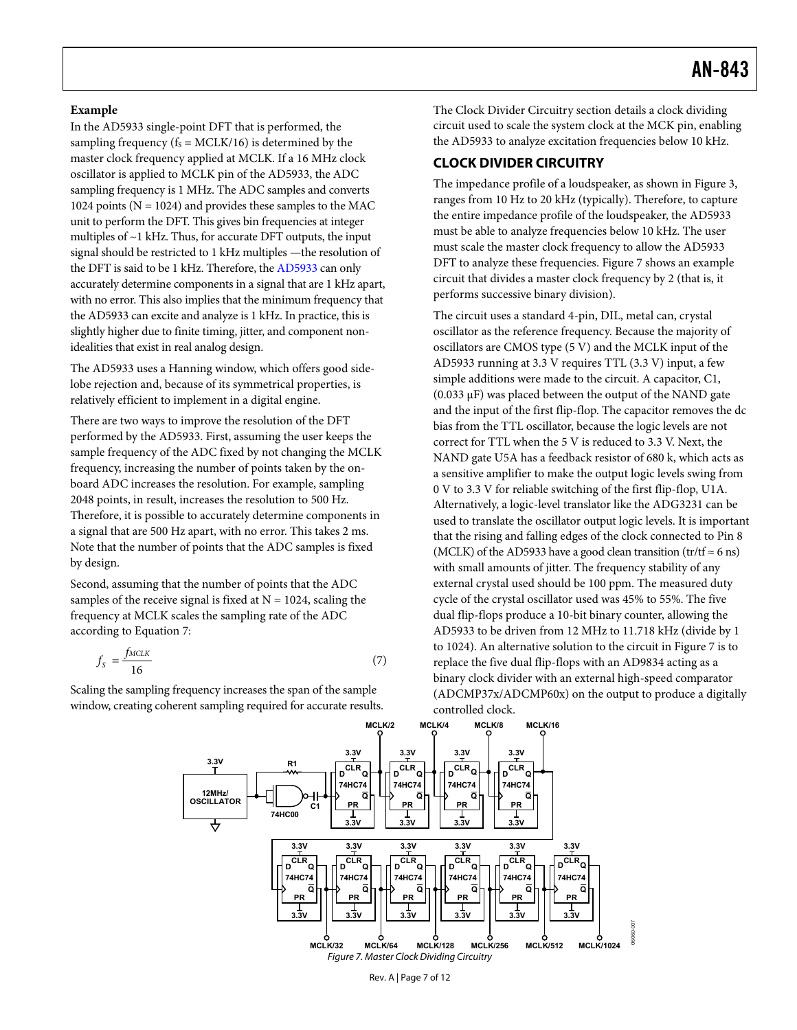#### <span id="page-6-0"></span>**Example**

<span id="page-6-1"></span>In the AD5933 single-point DFT that is performed, the sampling frequency ( $f_s = MCLK/16$ ) is determined by the master clock frequency applied at MCLK. If a 16 MHz clock oscillator is applied to MCLK pin of the AD5933, the ADC sampling frequency is 1 MHz. The ADC samples and converts 1024 points ( $N = 1024$ ) and provides these samples to the MAC unit to perform the DFT. This gives bin frequencies at integer multiples of ~1 kHz. Thus, for accurate DFT outputs, the input signal should be restricted to 1 kHz multiples —the resolution of the DFT is said to be 1 kHz. Therefore, the AD5933 can only accurately determine components in a signal that are 1 kHz apart, with no error. This also implies that the minimum frequency that the AD5933 can excite and analyze is 1 kHz. In practice, this is slightly higher due to finite timing, jitter, and component nonidealities that exist in real analog design.

The AD5933 uses a Hanning window, which offers good sidelobe rejection and, because of its symmetrical properties, is relatively efficient to implement in a digital engine.

There are two ways to improve the resolution of the DFT performed by the AD5933. First, assuming the user keeps the sample frequency of the ADC fixed by not changing the MCLK frequency, increasing the number of points taken by the onboard ADC increases the resolution. For example, sampling 2048 points, in result, increases the resolution to 500 Hz. Therefore, it is possible to accurately determine components in a signal that are 500 Hz apart, with no error. This takes 2 ms. Note that the number of points that the ADC samples is fixed by design.

Second, assuming that the number of points that the ADC samples of the receive signal is fixed at  $N = 1024$ , scaling the frequency at MCLK scales the sampling rate of the ADC according to Equation 7:

$$
f_{\rm S} = \frac{f_{MCLK}}{16} \tag{7}
$$

<span id="page-6-2"></span>Scaling the sampling frequency increases the span of the sample window, creating coherent sampling required for accurate results.

The [Clock Divider Circuitry](#page-6-1) section details a clock dividing circuit used to scale the system clock at the MCK pin, enabling the AD5933 to analyze excitation frequencies below 10 kHz.

#### **CLOCK DIVIDER CIRCUITRY**

The impedance profile of a loudspeaker, as shown in [Figure 3](#page-2-2), ranges from 10 Hz to 20 kHz (typically). Therefore, to capture the entire impedance profile of the loudspeaker, the AD5933 must be able to analyze frequencies below 10 kHz. The user must scale the master clock frequency to allow the AD5933 DFT to analyze these frequencies. [Figure 7](#page-6-2) shows an example circuit that divides a master clock frequency by 2 (that is, it performs successive binary division).

The circuit uses a standard 4-pin, DIL, metal can, crystal oscillator as the reference frequency. Because the majority of oscillators are CMOS type (5 V) and the MCLK input of the AD5933 running at 3.3 V requires TTL (3.3 V) input, a few simple additions were made to the circuit. A capacitor, C1,  $(0.033 \mu)$  was placed between the output of the NAND gate and the input of the first flip-flop. The capacitor removes the dc bias from the TTL oscillator, because the logic levels are not correct for TTL when the 5 V is reduced to 3.3 V. Next, the NAND gate U5A has a feedback resistor of 680 k, which acts as a sensitive amplifier to make the output logic levels swing from 0 V to 3.3 V for reliable switching of the first flip-flop, U1A. Alternatively, a logic-level translator like the ADG3231 can be used to translate the oscillator output logic levels. It is important that the rising and falling edges of the clock connected to Pin 8 (MCLK) of the AD5933 have a good clean transition (tr/tf  $\approx$  6 ns) with small amounts of jitter. The frequency stability of any external crystal used should be 100 ppm. The measured duty cycle of the crystal oscillator used was 45% to 55%. The five dual flip-flops produce a 10-bit binary counter, allowing the AD5933 to be driven from 12 MHz to 11.718 kHz (divide by 1 to 1024). An alternative solution to the circuit in [Figure 7](#page-6-2) is to replace the five dual flip-flops with an AD9834 acting as a binary clock divider with an external high-speed comparator (ADCMP37x/ADCMP60x) on the output to produce a digitally controlled clock.

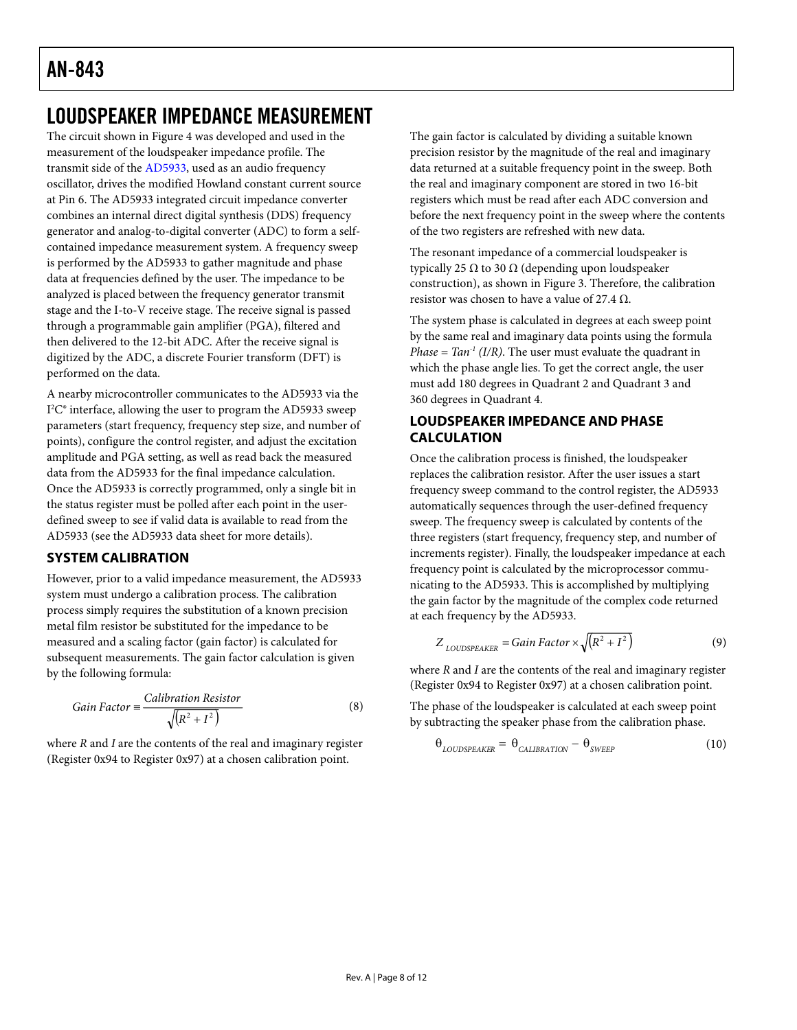# <span id="page-7-0"></span>LOUDSPEAKER IMPEDANCE MEASUREMENT

The circuit shown in [Figure 4](#page-3-1) was developed and used in the measurement of the loudspeaker impedance profile. The transmit side of the AD5933, used as an audio frequency oscillator, drives the modified Howland constant current source at Pin 6. The AD5933 integrated circuit impedance converter combines an internal direct digital synthesis (DDS) frequency generator and analog-to-digital converter (ADC) to form a selfcontained impedance measurement system. A frequency sweep is performed by the AD5933 to gather magnitude and phase data at frequencies defined by the user. The impedance to be analyzed is placed between the frequency generator transmit stage and the I-to-V receive stage. The receive signal is passed through a programmable gain amplifier (PGA), filtered and then delivered to the 12-bit ADC. After the receive signal is digitized by the ADC, a discrete Fourier transform (DFT) is performed on the data.

A nearby microcontroller communicates to the AD5933 via the I 2 C® interface, allowing the user to program the AD5933 sweep parameters (start frequency, frequency step size, and number of points), configure the control register, and adjust the excitation amplitude and PGA setting, as well as read back the measured data from the AD5933 for the final impedance calculation. Once the AD5933 is correctly programmed, only a single bit in the status register must be polled after each point in the userdefined sweep to see if valid data is available to read from the AD5933 (see the AD5933 data sheet for more details).

### **SYSTEM CALIBRATION**

However, prior to a valid impedance measurement, the AD5933 system must undergo a calibration process. The calibration process simply requires the substitution of a known precision metal film resistor be substituted for the impedance to be measured and a scaling factor (gain factor) is calculated for subsequent measurements. The gain factor calculation is given by the following formula:

Gain Factor = 
$$
\frac{Calibration\;Resistor}{\sqrt{(R^2 + I^2)}}\tag{8}
$$

where *R* and *I* are the contents of the real and imaginary register (Register 0x94 to Register 0x97) at a chosen calibration point.

The gain factor is calculated by dividing a suitable known precision resistor by the magnitude of the real and imaginary data returned at a suitable frequency point in the sweep. Both the real and imaginary component are stored in two 16-bit registers which must be read after each ADC conversion and before the next frequency point in the sweep where the contents of the two registers are refreshed with new data.

The resonant impedance of a commercial loudspeaker is typically 25 Ω to 30 Ω (depending upon loudspeaker construction), as shown in [Figure 3.](#page-2-2) Therefore, the calibration resistor was chosen to have a value of 27.4  $\Omega$ .

The system phase is calculated in degrees at each sweep point by the same real and imaginary data points using the formula *Phase = Tan<sup>-1</sup>* (*I/R*). The user must evaluate the quadrant in which the phase angle lies. To get the correct angle, the user must add 180 degrees in Quadrant 2 and Quadrant 3 and 360 degrees in Quadrant 4.

### **LOUDSPEAKER IMPEDANCE AND PHASE CALCULATION**

Once the calibration process is finished, the loudspeaker replaces the calibration resistor. After the user issues a start frequency sweep command to the control register, the AD5933 automatically sequences through the user-defined frequency sweep. The frequency sweep is calculated by contents of the three registers (start frequency, frequency step, and number of increments register). Finally, the loudspeaker impedance at each frequency point is calculated by the microprocessor communicating to the AD5933. This is accomplished by multiplying the gain factor by the magnitude of the complex code returned at each frequency by the AD5933.

$$
Z_{\text{LOUDSPEAKER}} = Gain Factor \times \sqrt{(R^2 + I^2)}
$$
\n(9)

where *R* and *I* are the contents of the real and imaginary register (Register 0x94 to Register 0x97) at a chosen calibration point.

The phase of the loudspeaker is calculated at each sweep point by subtracting the speaker phase from the calibration phase.

$$
\theta_{\text{LOUDSPEAKER}} = \theta_{\text{CALIBRATION}} - \theta_{\text{SWEEP}} \tag{10}
$$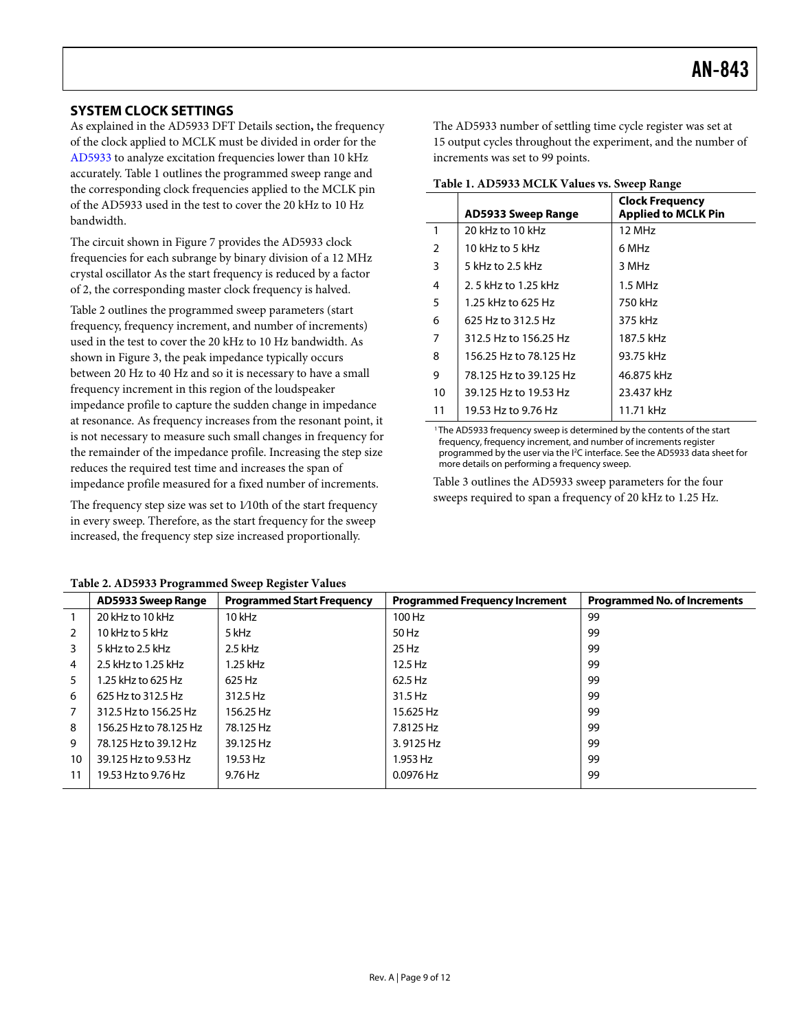### <span id="page-8-0"></span>**SYSTEM CLOCK SETTINGS**

As explained in the [AD5933 DFT Details](#page-5-1) section**,** the frequency of the clock applied to MCLK must be divided in order for the AD5933 to analyze excitation frequencies lower than 10 kHz accurately. [Table 1](#page-8-1) outlines the programmed sweep range and the corresponding clock frequencies applied to the MCLK pin of the AD5933 used in the test to cover the 20 kHz to 10 Hz bandwidth.

<span id="page-8-1"></span>The circuit shown in [Figure 7](#page-6-2) provides the AD5933 clock frequencies for each subrange by binary division of a 12 MHz crystal oscillator As the start frequency is reduced by a factor of 2, the corresponding master clock frequency is halved.

[Table 2](#page-8-2) outlines the programmed sweep parameters (start frequency, frequency increment, and number of increments) used in the test to cover the 20 kHz to 10 Hz bandwidth. As shown in [Figure 3](#page-2-2), the peak impedance typically occurs between 20 Hz to 40 Hz and so it is necessary to have a small frequency increment in this region of the loudspeaker impedance profile to capture the sudden change in impedance at resonance. As frequency increases from the resonant point, it is not necessary to measure such small changes in frequency for the remainder of the impedance profile. Increasing the step size reduces the required test time and increases the span of impedance profile measured for a fixed number of increments.

The frequency step size was set to 1/10th of the start frequency in every sweep. Therefore, as the start frequency for the sweep increased, the frequency step size increased proportionally.

The AD5933 number of settling time cycle register was set at 15 output cycles throughout the experiment, and the number of increments was set to 99 points.

| Table 1. AD5933 MCLK Values vs. Sweep Range |
|---------------------------------------------|
|---------------------------------------------|

|                | AD5933 Sweep Range     | <b>Clock Frequency</b><br><b>Applied to MCLK Pin</b> |  |  |
|----------------|------------------------|------------------------------------------------------|--|--|
| $\mathbf{1}$   | 20 kHz to 10 kHz       | 12 MHz                                               |  |  |
| $\overline{2}$ | 10 kHz to 5 kHz        | 6 MHz                                                |  |  |
| 3              | 5 kHz to 2.5 kHz       | 3 MHz                                                |  |  |
| 4              | 2.5 kHz to 1.25 kHz    | $1.5$ MHz                                            |  |  |
| 5              | 1.25 kHz to 625 Hz     | 750 kHz                                              |  |  |
| 6              | 625 Hz to 312.5 Hz     | 375 kHz                                              |  |  |
| 7              | 312.5 Hz to 156.25 Hz  | 187.5 kHz                                            |  |  |
| 8              | 156.25 Hz to 78.125 Hz | 93.75 kHz                                            |  |  |
| 9              | 78.125 Hz to 39.125 Hz | 46.875 kHz                                           |  |  |
| 10             | 39.125 Hz to 19.53 Hz  | 23.437 kHz                                           |  |  |
| 11             | 19.53 Hz to 9.76 Hz    | 11.71 kHz                                            |  |  |

<sup>1</sup> The AD5933 frequency sweep is determined by the contents of the start frequency, frequency increment, and number of increments register programmed by the user via the <sup>12</sup>C interface. See the AD5933 data sheet for more details on performing a frequency sweep.

[Table 3](#page-9-0) outlines the AD5933 sweep parameters for the four sweeps required to span a frequency of 20 kHz to 1.25 Hz.

<span id="page-8-2"></span>

| <b>AD5933 Sweep Range</b> | <b>Programmed Start Frequency</b> | <b>Programmed Frequency Increment</b> | <b>Programmed No. of Increments</b> |
|---------------------------|-----------------------------------|---------------------------------------|-------------------------------------|
| 20 kHz to 10 kHz          | $10$ kHz                          | 100 Hz                                | 99                                  |
| 10 kHz to 5 kHz           | 5 kHz                             | 50 Hz                                 | 99                                  |
| 5 kHz to 2.5 kHz          | $2.5$ kHz                         | $25$ Hz                               | 99                                  |
| 2.5 kHz to 1.25 kHz       | 1.25 kHz                          | $12.5$ Hz                             | 99                                  |
| 1.25 kHz to 625 Hz        | 625 Hz                            | 62.5 Hz                               | 99                                  |
| 625 Hz to 312.5 Hz        | 312.5 Hz                          | 31.5 Hz                               | 99                                  |
| 312.5 Hz to 156.25 Hz     | 156.25 Hz                         | 15.625 Hz                             | 99                                  |
| 156.25 Hz to 78.125 Hz    | 78.125 Hz                         | 7.8125 Hz                             | 99                                  |
| 78.125 Hz to 39.12 Hz     | 39.125 Hz                         | 3.9125 Hz                             | 99                                  |
| 39.125 Hz to 9.53 Hz      | 19.53 Hz                          | 1.953 Hz                              | 99                                  |
| 19.53 Hz to 9.76 Hz       | 9.76 Hz                           | $0.0976$ Hz                           | 99                                  |
|                           |                                   |                                       | $\cdot$                             |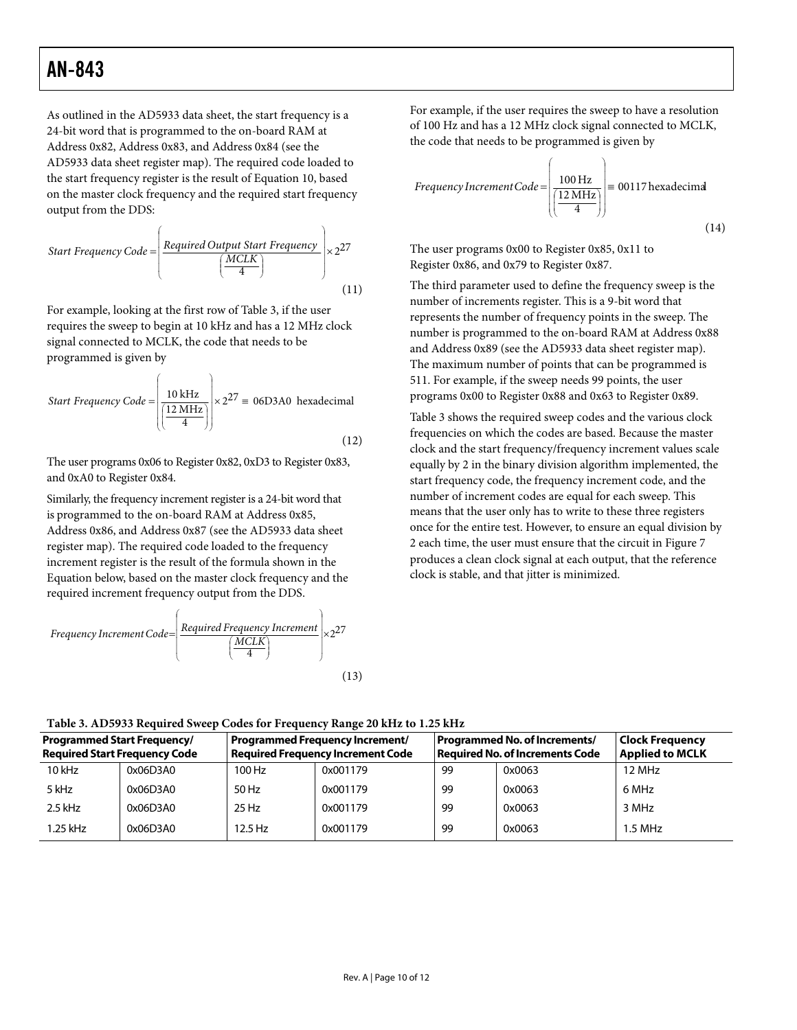As outlined in the AD5933 data sheet, the start frequency is a 24-bit word that is programmed to the on-board RAM at Address 0x82, Address 0x83, and Address 0x84 (see the AD5933 data sheet register map). The required code loaded to the start frequency register is the result of Equation 10, based on the master clock frequency and the required start frequency output from the DDS:

Start Frequency Code = 
$$
\left(\frac{Required Output Start Frequency}{\frac{MCLK}{4}}\right) \times 2^{27}
$$
 (11)

For example, looking at the first row of [Table 3](#page-9-0), if the user requires the sweep to begin at 10 kHz and has a 12 MHz clock signal connected to MCLK, the code that needs to be programmed is given by

Start Frequency Code = 
$$
\left(\frac{10 \text{ kHz}}{\frac{12 \text{ MHz}}{4}}\right) \times 2^{27} = 06D3A0 \text{ hexadecimal}
$$
 (12)

The user programs 0x06 to Register 0x82, 0xD3 to Register 0x83, and 0xA0 to Register 0x84.

Similarly, the frequency increment register is a 24-bit word that is programmed to the on-board RAM at Address 0x85, Address 0x86, and Address 0x87 (see the AD5933 data sheet register map). The required code loaded to the frequency increment register is the result of the formula shown in the Equation below, based on the master clock frequency and the required increment frequency output from the DDS.

Frequency increment Code = 
$$
\left(\frac{\text{Required Frequency Investment}}{4}\right) \times 2^{27}
$$
\n(13)

For example, if the user requires the sweep to have a resolution of 100 Hz and has a 12 MHz clock signal connected to MCLK, the code that needs to be programmed is given by

Frequency incrementCode =

\n
$$
\left( \frac{100 \, \text{Hz}}{4} \right) = 00117 \, \text{hexadecimal}
$$
\n(14)

The user programs 0x00 to Register 0x85, 0x11 to Register 0x86, and 0x79 to Register 0x87.

The third parameter used to define the frequency sweep is the number of increments register. This is a 9-bit word that represents the number of frequency points in the sweep. The number is programmed to the on-board RAM at Address 0x88 and Address 0x89 (see the AD5933 data sheet register map). The maximum number of points that can be programmed is 511. For example, if the sweep needs 99 points, the user programs 0x00 to Register 0x88 and 0x63 to Register 0x89.

[Table 3](#page-9-0) shows the required sweep codes and the various clock frequencies on which the codes are based. Because the master clock and the start frequency/frequency increment values scale equally by 2 in the binary division algorithm implemented, the start frequency code, the frequency increment code, and the number of increment codes are equal for each sweep. This means that the user only has to write to these three registers once for the entire test. However, to ensure an equal division by 2 each time, the user must ensure that the circuit in [Figure 7](#page-6-2) produces a clean clock signal at each output, that the reference clock is stable, and that jitter is minimized.

**Table 3. AD5933 Required Sweep Codes for Frequency Range 20 kHz to 1.25 kHz** 

<span id="page-9-0"></span>

| <b>Programmed Start Frequency/</b><br><b>Required Start Frequency Code</b> |          | <b>Programmed Frequency Increment/</b><br><b>Required Frequency Increment Code</b> |          | Programmed No. of Increments/<br>Reauired No. of Increments Code |        | <b>Clock Frequency</b><br><b>Applied to MCLK</b> |  |
|----------------------------------------------------------------------------|----------|------------------------------------------------------------------------------------|----------|------------------------------------------------------------------|--------|--------------------------------------------------|--|
| $10$ kHz                                                                   | 0x06D3A0 | 100 Hz                                                                             | 0x001179 | 99                                                               | 0x0063 | 12 MHz                                           |  |
| 5 kHz                                                                      | 0x06D3A0 | 50 Hz                                                                              | 0x001179 | 99                                                               | 0x0063 | 6 MHz                                            |  |
| $2.5$ kHz                                                                  | 0x06D3A0 | $25$ Hz                                                                            | 0x001179 | 99                                                               | 0x0063 | 3 MHz                                            |  |
| 1.25 kHz                                                                   | 0x06D3A0 | 12.5 Hz                                                                            | 0x001179 | 99                                                               | 0x0063 | $1.5$ MHz                                        |  |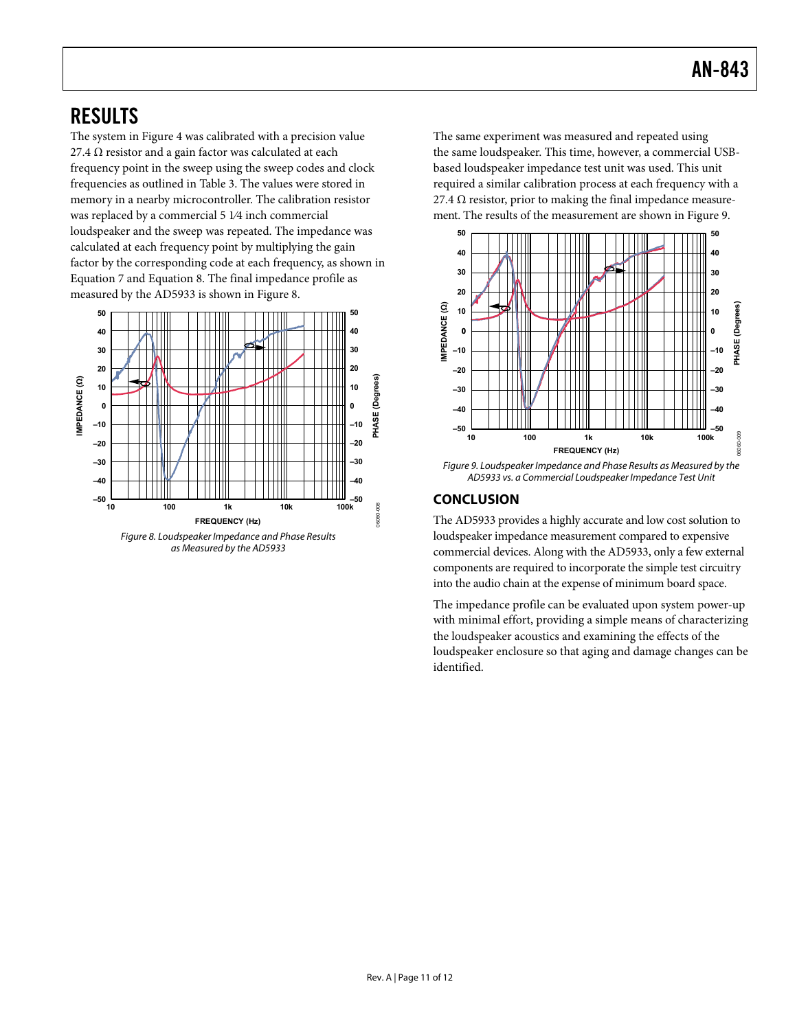# <span id="page-10-0"></span>RESULTS

The system in [Figure 4](#page-3-1) was calibrated with a precision value 27.4  $\Omega$  resistor and a gain factor was calculated at each frequency point in the sweep using the sweep codes and clock frequencies as outlined in [Table 3](#page-9-0). The values were stored in memory in a nearby microcontroller. The calibration resistor was replaced by a commercial 5 1⁄4 inch commercial loudspeaker and the sweep was repeated. The impedance was calculated at each frequency point by multiplying the gain factor by the corresponding code at each frequency, as shown in Equation 7 and Equation 8. The final impedance profile as measured by the AD5933 is shown in Figure 8.



as Measured by the AD5933

The same experiment was measured and repeated using the same loudspeaker. This time, however, a commercial USBbased loudspeaker impedance test unit was used. This unit required a similar calibration process at each frequency with a 27.4  $\Omega$  resistor, prior to making the final impedance measurement. The results of the measurement are shown in Figure 9.



Figure 9. Loudspeaker Impedance and Phase Results as Measured by the AD5933 vs. a Commercial Loudspeaker Impedance Test Unit

### **CONCLUSION**

The AD5933 provides a highly accurate and low cost solution to loudspeaker impedance measurement compared to expensive commercial devices. Along with the AD5933, only a few external components are required to incorporate the simple test circuitry into the audio chain at the expense of minimum board space.

The impedance profile can be evaluated upon system power-up with minimal effort, providing a simple means of characterizing the loudspeaker acoustics and examining the effects of the loudspeaker enclosure so that aging and damage changes can be identified.